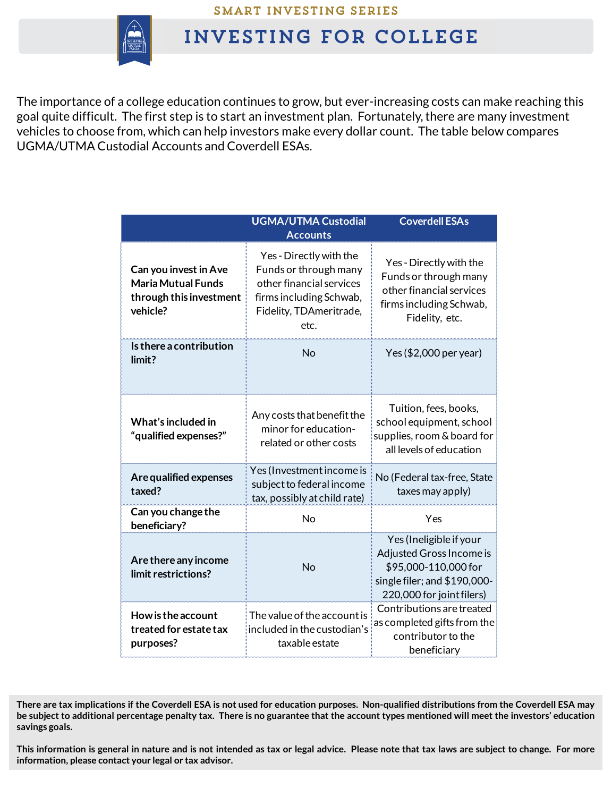

## **INVESTING FOR COLLEGE**

The importance of a college education continues to grow, but ever-increasing costs can make reaching this goal quite difficult. The first step is to start an investment plan. Fortunately, there are many investment vehicles to choose from, which can help investors make every dollar count. The table below compares UGMA/UTMA Custodial Accounts and Coverdell ESAs.

|                                                                                           | <b>UGMA/UTMA Custodial</b>                                                                                                                            | <b>Coverdell ESAs</b>                                                                                                                    |  |
|-------------------------------------------------------------------------------------------|-------------------------------------------------------------------------------------------------------------------------------------------------------|------------------------------------------------------------------------------------------------------------------------------------------|--|
| Can you invest in Ave<br><b>Maria Mutual Funds</b><br>through this investment<br>vehicle? | <b>Accounts</b><br>Yes - Directly with the<br>Funds or through many<br>other financial services<br>firms including Schwab,<br>Fidelity, TDAmeritrade, | Yes - Directly with the<br>Funds or through many<br>other financial services<br>firms including Schwab,<br>Fidelity, etc.                |  |
|                                                                                           | etc.                                                                                                                                                  |                                                                                                                                          |  |
| Is there a contribution<br>limit?                                                         | No                                                                                                                                                    | Yes (\$2,000 per year)                                                                                                                   |  |
| What's included in<br>"qualified expenses?"                                               | Any costs that benefit the<br>minor for education-<br>related or other costs                                                                          | Tuition, fees, books,<br>school equipment, school<br>supplies, room & board for<br>all levels of education                               |  |
| Are qualified expenses<br>taxed?                                                          | Yes (Investment income is<br>subject to federal income<br>tax, possibly at child rate)                                                                | No (Federal tax-free, State<br>taxes may apply)                                                                                          |  |
| Can you change the<br>beneficiary?                                                        | No                                                                                                                                                    | Yes                                                                                                                                      |  |
| Are there any income<br>limit restrictions?                                               | <b>No</b>                                                                                                                                             | Yes (Ineligible if your<br>Adjusted Gross Income is<br>\$95,000-110,000 for<br>single filer; and \$190,000-<br>220,000 for joint filers) |  |
| How is the account<br>treated for estate tax<br>purposes?                                 | The value of the account is<br>included in the custodian's<br>taxable estate                                                                          | Contributions are treated<br>as completed gifts from the<br>contributor to the<br>beneficiary                                            |  |

This information is general in nature and is not intended as tax or legal advice. Please note that tax laws are subject to change. For more **information, please contact your legal or tax advisor.**

There are tax implications if the Coverdell ESA is not used for education purposes. Non-qualified distributions from the Coverdell ESA may be subject to additional percentage penalty tax. There is no guarantee that the account types mentioned will meet the investors' education **savings goals.**